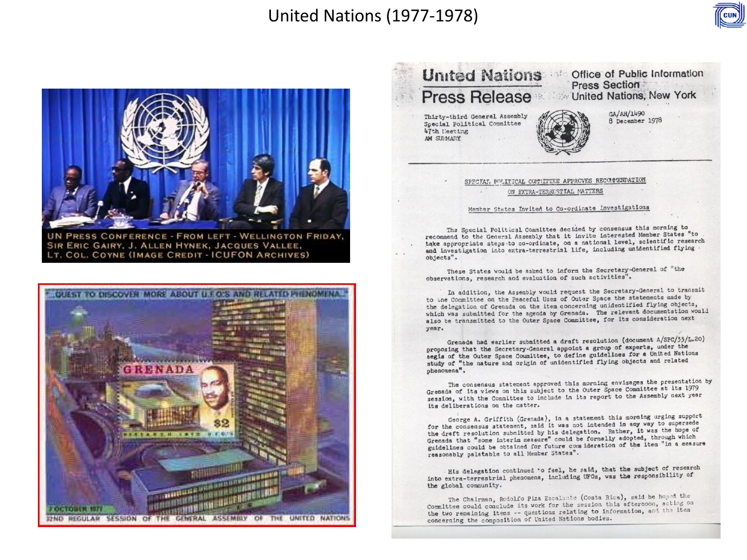### **United Nations (1977-1978)**



UN PRESS CONFERENCE - FROM LEFT - WELLINGTON FRIDAY, SIR ERIC GAIRY, J. ALLEN HYNEK, JACQUES VALLEE, LT. COL. COYNE (IMAGE CREDIT - ICUFON ARCHIVES)



**United Nations Coffice of Public Information** Press Section Press Release Million United Nations, New York GA/AH/1490 Thirty-third General Assembly 8 December 1978 Special Political Committee 47th Meeting AM SURMARY

> SPECIAL POLITICAL COMMITTEE APPROVES RECOMMENDATION ON EXTRA-TERRESTIAL MATTERS

#### Member States Invited to Co-ordinate Investigations

The Special Political Committee decided by consensus this morning to recommend to the General Assembly that it invite interested Member States "to take appropriate steps to co-ordinate, on a national level, scientific research and investigation into extra-terrestrial life, including unidentified flying objects".

These States would be asked to inform the Secretary-General of "the observations, research and evaluation of such activities".

In addition, the Assembly would request the Secretary-General to transmit to the Committee on the Peaceful Uses of Outer Space the statements made by the delegation of Grenada on the item concerning unidentified flying objects, which was submitted for the agenda by Grenada. The relevant documentation would also be transmitted to the Outer Space Committee, for its consideration next year.

Grenada had earlier submitted a draft resolution (document A/SPC/33/L.20) proposing that the Secretary-General appoint a group of experts, under the aegis of the Outer Space Committee, to define guidelines for a United Nations study of "the nature and origin of unidentified flying objects and related phenomena".

The consensus statement approved this morning envisages the presentation by Grenada of its views on this subject to the Outer Space Committee at its 1979 session, with the Committee to include in its report to the Assembly next year its deliberations on the matter.

George A. Griffith (Grenada), in a statement this morning urging support<br>for the consensus statement, said it was not intended in any way to supersede the draft resolution submitted by his delegation. Rather, it was the hope of Grenada that "some interim measure" could be formally adopted, through which guidelines could be obtained for future consideration of the item "in a measure reasonably palatable to all Member States".

His delegation continued to feel, he said, that the subject of research into extra-terrestrial phenomena, including UFOs, was the responsibility of the global community.

The Chairman, Rodolfo Piza Escalante (Costa Rica), said he hoped the Committee could conclude its work for the session this afternoon, acting on the two remaining items -- questions relating to information, and the item concerning the composition of United Nations bodies.